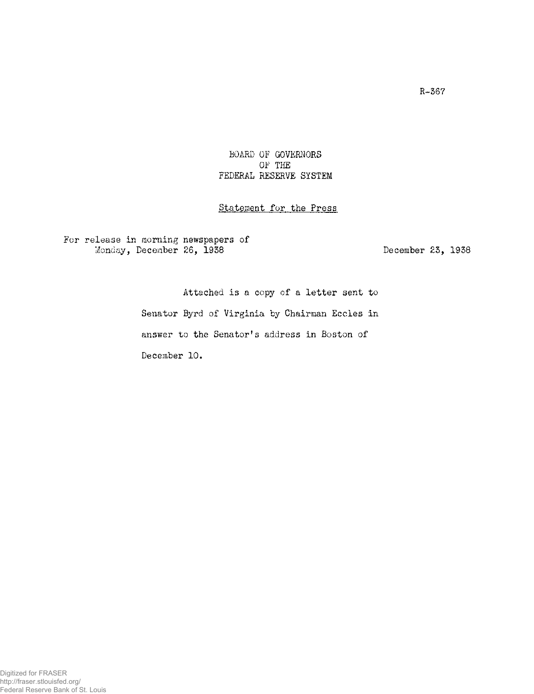## **BOARD OF GOVERNORS OF THE FEDERAL RESERVE SYSTEM**

## **Statement for the Press**

## **For release in morning newspapers of**  Monday, December 26, 1938 **December 23, 1938**

**Attached is a copy of a letter sent to Senator Byrd of Virginia by Chairman Eccles in answer to the Senator 1 s address in Boston of December 10.**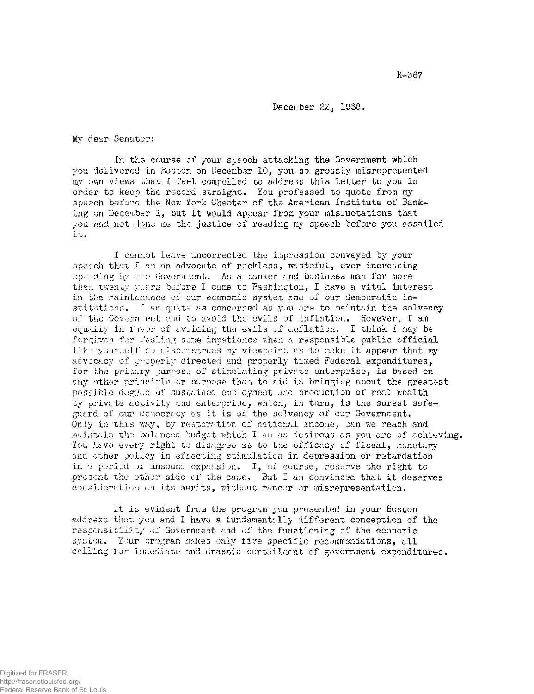**December 22, 1958.** 

**My dear Senator:** 

**In the course of your speech attacking the Government which you delivered in Boston on December 10, you so grossly misrepresented my own views that I feel compelled to address this letter to you in order to keep the record straight. You professed to quote from my speech before the New York Chapter of the American Institute of Banking on December 1, but it would appear from your misquotations that you had not done me the justice of reading my speech before you assailed it.** 

**I cannot leave uncorrected the impression conveyed by your speech that I am an advocate of reckless, wasteful, ever increasing spending by the Government. As a banker and business man for more than twenty years before I came to Washington, I have a vital interest in the maintenance of our economic system ana of our democratic institutions. I am quite as concerned as you are to maintain the solvency of the Government and to avoid the evils of inflation. However, I am equally in favor of avoiding** *the* **evils of deflation. I think I may be forgiven for feeling some impatience when a responsible public official like yourself so misconstrues my viewpoint as to make it appear that my advocacy of properly directed and properly timed Federal expenditures, for the primary purpose of stimulating private enterprise, is based on any other principle or purpose than to aid in bringing about the greatest possible degree of sustained employment and production of real wealth by private activity and enterprise, which, in turn, is the surest safeguard of our democracy as it is of the solvency of our Government. Only in this way, by restoration of national income, can we reach and maintain the balanced budget which I am as desirous as you are of achieving. You have every right to disagree as to the efficacy of fiscal, monetary and other policy in effecting stimulation in depression or retardation in a period of unsound expansion. I, of course, reserve the right to present the other side of the case. But I am convinced that it deserves consideration on its merits, without rancor or misrepresentation.** 

**It Is evident from the program you presented in your Boston address that you and I have a fundamentally different conception of the responsibility of Government and of the functioning of the economic system. Your program makes only five specific recommendations, all calling tor immediate and drastic curtailment of government expenditures.**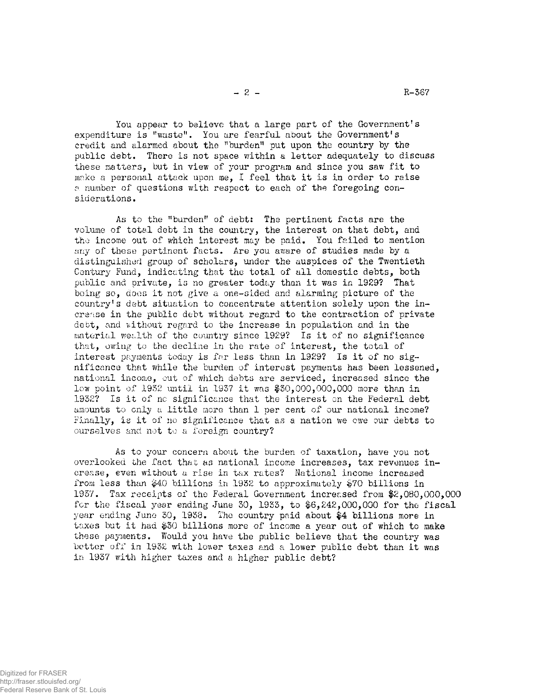You appear to believe that a large part of the Government's **expenditure is "waste". You are fearful about the Government's credit and alarmed about the "burden" put upon the country by the public debt. There is not space within a letter adequately to discuss these matters, but in view of your program and since you saw fit to make a personal attack upon me, I feel that it is in order to raise** 

**a number of questions with respect to each of the foregoing con-**

**siderations.** 

**As to the "burden" of debt: The pertinent facts are the volume of total debt in the country, the interest on that debt, and the income out of which interest may be paid. You failed to mention any of these pertinent facts. Are you aware of studies made by a distinguished group of scholars, under the auspices of the Twentieth Century Fund, indicating that the total of all domestic debts, both public and private, is no greater today than it was in 1929? That being so, does it not give a one-sided and alarming picture of the 1 country s debt situation to concentrate attention solely upon the increase in the public debt without regard to the contraction of private debt, and without regard to the increase in population and in the material wealth of the country since 1929? Is it of no significance that, owing to the decline in the rate of interest, the total of interest payments today is far less than in 1929? Is it of no significance that while the burden of interest payments has been lessened, national income, out of which debts are serviced, increased since the low point of 1952 until in 1937 it was \$30,000,000,000 more than in 1932? Is it of no significance that the interest on the Federal debt amounts to only a little more than 1 per cent of our national income? Finally, is it of no significance that as a nation we owe our debts to ourselves and not to a foreign country?** 

**As to your concern about the burden of taxation, have you not overlooked the fact that as national income increases, tax revenues increase, even without a rise in tax rates? National income increased from less than \$40 billions in 1932 to approximately \$70 billions in 1937. Tax receipts of the Federal Government increased from \$2,080,000,000 for the fiscal year ending June 30, 1933, to \$6,242,000,000 for the fiscal year ending June 30, 1938. The country paid about \$4 billions more in taxes but it had \$30 billions more of income a year out of which to make these payments. Would you have the public believe that the country was better off in 1932 with lower taxes and a lower public debt than it was in 1937 with higher taxes and a higher public debt?** 

 $- 2 -$  R-367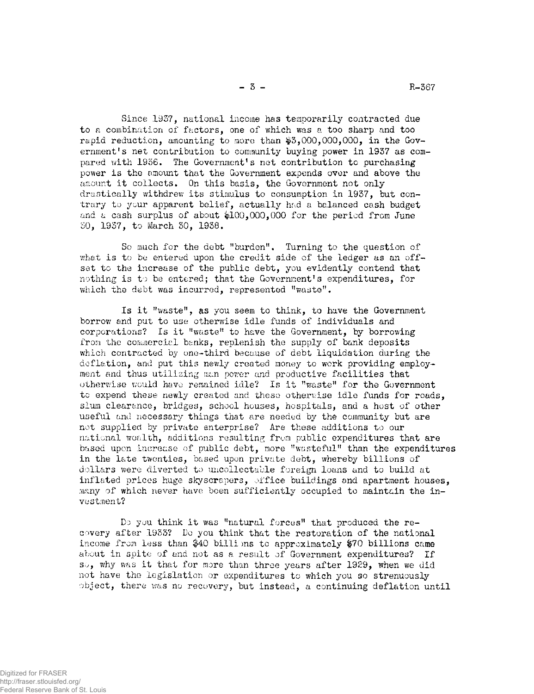**Since 1957, national income has temporarily contracted due to a combination of factors, one of which was a too sharp and too**  rapid reduction, amounting to more than \$3,000,000,000, in the Gov**ernment's net contribution to community buying power in 1937 as compared with 1936. The Government's net contribution to purchasing power is the amount that the Government expends over and above the amount it collects. On this basis, the Government not only drastically withdrew its stimulus to consumption in 1937, but contrary to your apparent belief, actually had a balanced cash budget and a cash surplus of about \$100,000,000 for the period from June 30, 1937, to March 30, 1938.** 

**So much for the debt "burden". Turning to the question of what is to be entered upon the credit side of the ledger as an offset to the increase of the public debt, you evidently contend that 1 nothing is to be entered; that the Government s expenditures, for which the debt was incurred, represented "waste".** 

Is it "waste", as you seem to think, to have the Government **borrow and put to use otherwise idle funds of individuals and corporations? Is it "waste" to have the Government, by borrowing from the commercial banks, replenish the supply of bank deposits which contracted by one-third because of debt liquidation during the deflation, and put this newly created money to work providing employment and thus utilizing man power and productive facilities that otherwise would have remained idle? Is it "waste" for the Government to expend these newly created and these otherwise idle funds for roads, slum clearance, bridges, school houses, hospitals, and a host of other useful and necessary things that are needed by the community but are not supplied by private enterprise? Are these additions to our national wealth, additions resulting from public expenditures that are based upon increase of public debt, more "wasteful" than the expenditures in the late twenties, based upon private debt, whereby billions of dollars were diverted to uncollectable foreign loans and to build at inflated prices huge skyscrapers, office buildings and apartment houses, many of which never have been sufficiently occupied to maintain the investment?** 

**Do you think it was "natural forces" that produced the recovery after 195S? Do you think that the restoration of the national income from less than \$40 billi** *ms* **to approximately #70 billions came about in spite of and not as a result of Government expenditures? If so, why was it that for more than three years after 1929, when we did not have the legislation or expenditures to which you so strenuously object, there was no recovery, but instead, a continuing deflation until**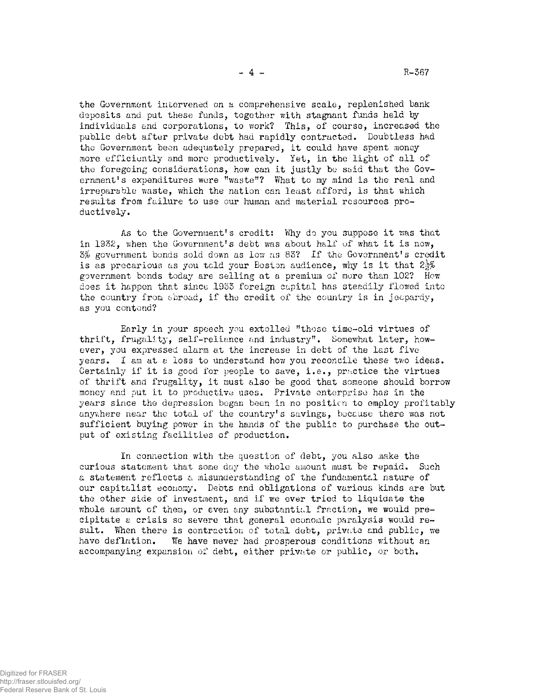**the Government intervened on a comprehensive scale, replenished bank deposits and put these funds, together with stagnant funds held by individuals and corporations, to work? This, of course, increased the public debt after private debt had rapidly contracted. Doubtless had the Government been adequately prepared, it could have spent money more efficiently and more productively. Yet, in the light of all of the foregoing considerations, how can it justly be said that the Government's expenditures were "waste"? What to my mind is the real and irreparable waste, which the nation can least afford, is that which results from failure to use our human and material resources productively.** 

**As to the Government's credit: Why do you suppose it was that 1** in 1932, when the Government's debt was about half of what it is now, *5%* **government bonds sold down as low as 83? If the Government's credit is as precarious as you told your Boston audience, why is it that 2^% government bonds today are selling at a premium of more than 102? How does it happen that since 1933 foreign capital has steadily flowed into the country from abroad, if the credit of the country is in jeopardy, as you contend?** 

**Early in your speech you extolled "those time-old virtues of thrift, frugality, self-reliance and industry". Somewhat later, however, you expressed alarm at the increase in debt of the last five**  years. I am at a loss to understand how you reconcile these two ideas. **Certainly if it is good for people to save, i.e., practice the virtues of thrift and frugality, it must also be good that someone should borrow money and put it to productive uses. Private enterprise has in the years since the depression began been in no position to employ profitably anywhere near the total of the country's savings, because there was not sufficient buying power in the hands of the public to purchase the output of existing facilities of production.** 

**In connection with the question of debt, you also make the curious statement that some day the whole amount must be repaid. Such a statement reflects a misunderstanding of the fundamental nature of our capitalist economy. Debts and obligations of various kinds are but the other side of investment, and if we ever tried to liquidate the whole amount of them, or even any substantial fraction, we would precipitate a crisis so severe that general economic paralysis would result. When there is contraction of total debt, private and public, we have deflation. We have never had prosperous conditions without an accompanying expansion of debt, either private or public, or both.**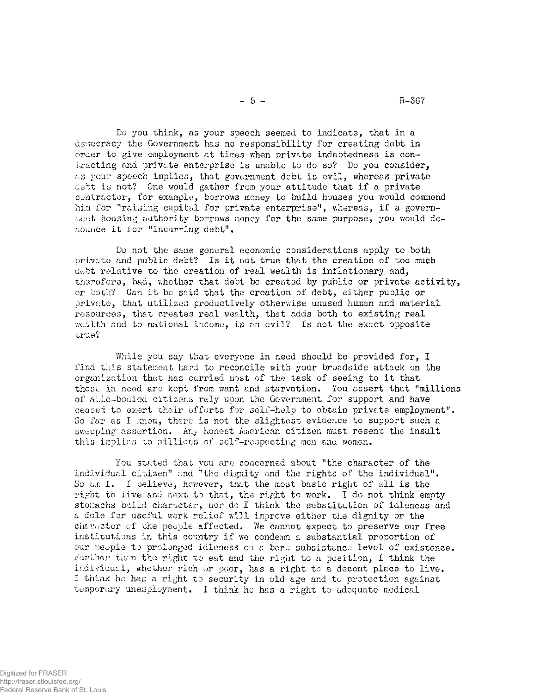**Do you think, as your speech seemed to indicate, that in a democracy the Government has no responsibility for creating debt in order to give employment at times when private indebtedness is contracting and private enterprise is unable to do so? Do you consider, as your speech implies, that government debt is evil, whereas private debt is not? One would gather from your attitude that if a private contractor, for example, borrows money to build houses you would commend him for "raising capital for private enterprise", whereas, if a government housing authority borrows money for the same purpose, you would denounce it for "incurring debt".** 

**Do not the same general economic considerations apply to both private and public debt? Is it not true that the creation of too much debt relative to the creation of real wealth is inflationary and, therefore, baa, whether that debt be created by public or private activity, or both? Can it be said that the creation of debt, either public or private, that utilises productively otherwise unused human and material resources, that creates real wealth, that adds both to existing real wealth and to national income, is an evil? Is not the exact opposite true?** 

**While you say that everyone in need should be provided for, I find this statement hard to reconcile with your broadside attack on the organization that has carried most of the task of seeing to it that those in need are kept from want and starvation. You assert that "millions of able-bodied citizens rely upon the Government for support and have ceased to exert their efforts for self-help to obtain private employment". So far as I know, there is not the slightest evidence to support such a sweeping assertion. Any honest American citizen must resent the insult this implies to millions of self-respecting men and women.** 

**You stated that you are concerned about "the character of the**  individual citizen" and "the dignity and the rights of the individual". **So am I. I believe, however, that the most basic right of all is the right to live and next to that, the right to work. I do not think empty stomachs build character, nor do I think the substitution of idleness and a dole for useful work relief will improve either the dignity or the character of the people effected. We cannot expect to preserve our free institutions in this country if we condemn a substantial proportion of our people to prolonged idleness on a bare subsistence level of existence. Further than the right to eat and the right to a position, 1 think the individual, whether rich or poor, has a right to a decent place to live. I think ho has a right to security in old age and to protection against temporary unemployment. I think he has a right to adequate medical**